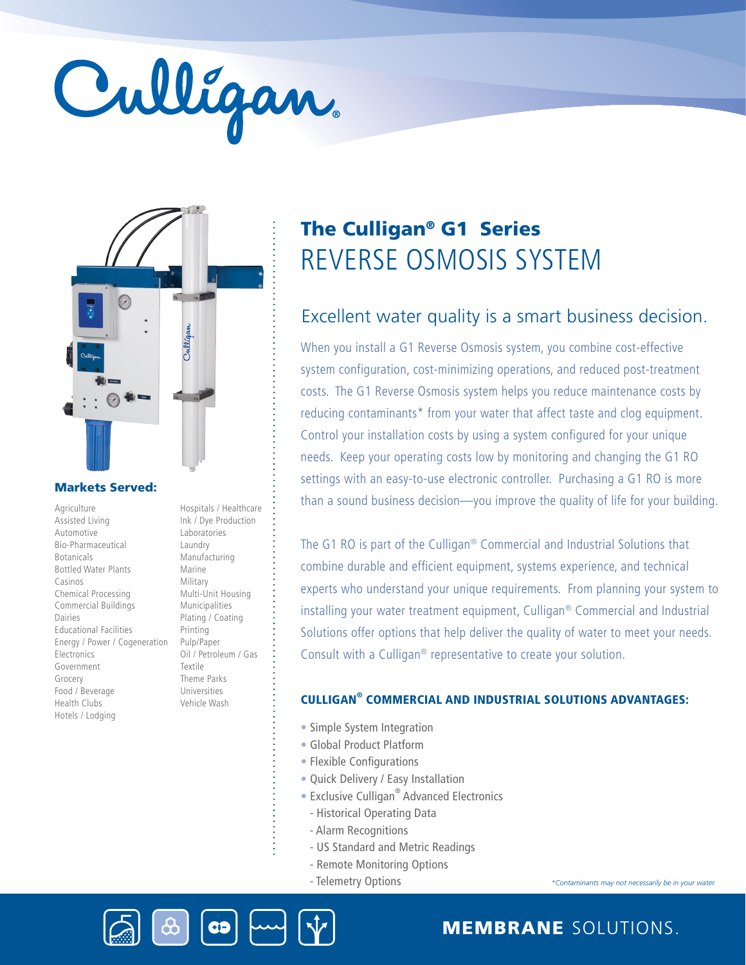# Culligan



# Markets Served:

Agriculture Assisted Living Automotive Bio-Pharmaceutical Botanicals Bottled Water Plants Casinos Chemical Processing Commercial Buildings Dairies Educational Facilities Energy / Power / Cogeneration **Electronics** Government Grocery Food / Beverage Health Clubs Hotels / Lodging

Ink / Dye Production Laboratories Laundry Manufacturing Marine Military Multi-Unit Housing Municipalities Plating / Coating Printing Pulp/Paper Oil / Petroleum / Gas Textile Theme Parks Universities Vehicle Wash

Hospitals / Healthcare

# REVERSE OSMOSIS SYSTEM The Culligan® G1 Series

# Excellent water quality is a smart business decision.

When you install a G1 Reverse Osmosis system, you combine cost-effective system configuration, cost-minimizing operations, and reduced post-treatment costs. The G1 Reverse Osmosis system helps you reduce maintenance costs by reducing contaminants\* from your water that affect taste and clog equipment. Control your installation costs by using a system configured for your unique needs. Keep your operating costs low by monitoring and changing the G1 RO settings with an easy-to-use electronic controller. Purchasing a G1 RO is more than a sound business decision—you improve the quality of life for your building.

The G1 RO is part of the Culligan® Commercial and Industrial Solutions that combine durable and efficient equipment, systems experience, and technical experts who understand your unique requirements. From planning your system to installing your water treatment equipment, Culligan® Commercial and Industrial Solutions offer options that help deliver the quality of water to meet your needs. Consult with a Culligan® representative to create your solution.

# CULLIGAN® COMMERCIAL AND INDUSTRIAL SOLUTIONS ADVANTAGES:

- Simple System Integration
- Global Product Platform
- Flexible Configurations
- Quick Delivery / Easy Installation
- Exclusive Culligan<sup>®</sup> Advanced Electronics
- Historical Operating Data
- Alarm Recognitions
- US Standard and Metric Readings
- Remote Monitoring Options
- Telemetry Options

*\*Contaminants may not necessarily be in your water.*





MEMBRANE SOLUTIONS.